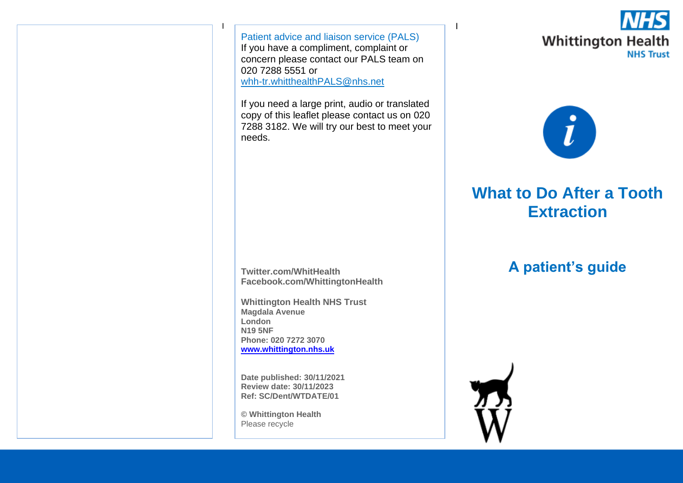<u>I i provincia de la contrada de la contrada de la contrada de la contrada de la contrada de la con</u> Patient advice and liaison service (PALS) If you have a compliment, complaint or concern please contact our PALS team on 020 7288 5551 or [whh-tr.whitthealthPALS@nhs.net](mailto:whh-tr.whitthealthPALS@nhs.net)

If you need a large print, audio or translated copy of this leaflet please contact us on 020 7288 3182. We will try our best to meet your needs.

**Twitter.com/WhitHealth Facebook.com/WhittingtonHealth**

**Whittington Health NHS Trust Magdala Avenue London N19 5NF Phone: 020 7272 3070 [www.whittington.nhs.uk](http://www.whittington.nhs.uk/)**

**Date published: 30/11/2021 Review date: 30/11/2023 Ref: SC/Dent/WTDATE/01**

**© Whittington Health** Please recycle





# **What to Do After a Tooth Extraction**

# **A patient's guide**